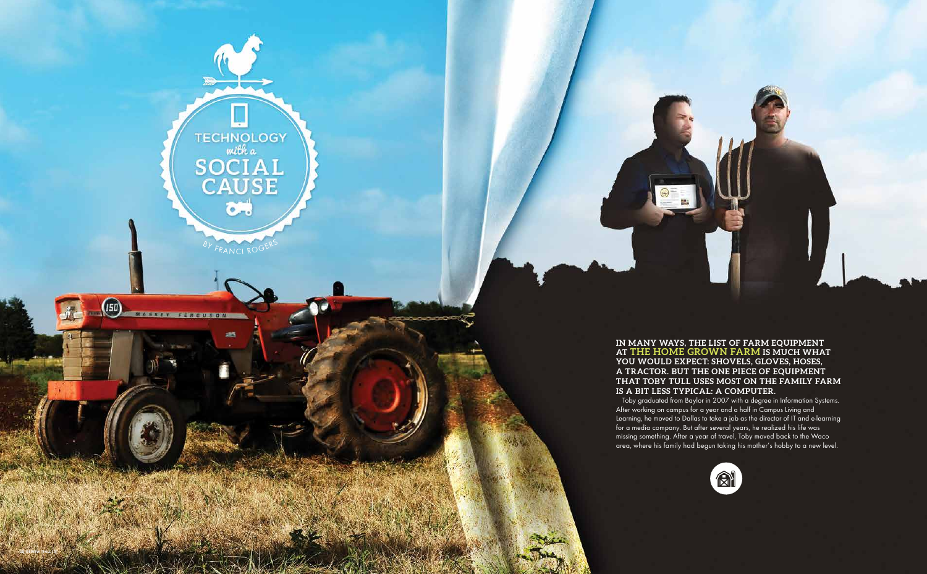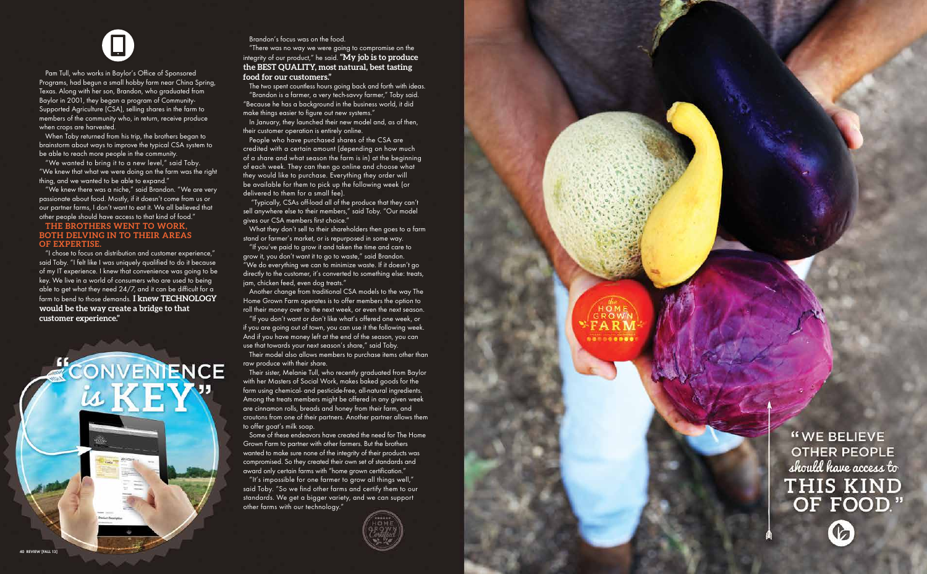Pam Tull, who works in Baylor's Office of Sponsored Programs, had begun a small hobby farm near China Spring, Texas. Along with her son, Brandon, who graduated from Baylor in 2001, they began a program of Community-Supported Agriculture (CSA), selling shares in the farm to members of the community who, in return, receive produce when crops are harvested.

When Toby returned from his trip, the brothers began to brainstorm about ways to improve the typical CSA system to be able to reach more people in the community.

"We wanted to bring it to a new level," said Toby. "We knew that what we were doing on the farm was the right thing, and we wanted to be able to expand."

"We knew there was a niche," said Brandon. "We are very passionate about food. Mostly, if it doesn't come from us or our partner farms, I don't want to eat it. We all believed that other people should have access to that kind of food."

## **The brothers went to work, both delving in to their areas of expertise.**

"I chose to focus on distribution and customer experience," said Toby. "I felt like I was uniquely qualified to do it because of my IT experience. I knew that convenience was going to be key. We live in a world of consumers who are used to being able to get what they need 24/7, and it can be difficult for a farm to bend to those demands. I knew TECHNOLOGY **would be the way create a bridge to that customer experience."**

CONVENTENCE

is KEY<sup>v</sup>

Brandon's focus was on the food.

"There was no way we were going to compromise on the integrity of our product," he said. **"My job is to produce the best quality, most natural, best tasting food for our customers."**

The two spent countless hours going back and forth with ideas. "Brandon is a farmer, a very tech-savvy farmer," Toby said. "Because he has a background in the business world, it did make things easier to figure out new systems."

In January, they launched their new model and, as of then, their customer operation is entirely online.

People who have purchased shares of the CSA are credited with a certain amount (depending on how much of a share and what season the farm is in) at the beginning of each week. They can then go online and choose what they would like to purchase. Everything they order will be available for them to pick up the following week (or delivered to them for a small fee).

 "Typically, CSAs off-load all of the produce that they can't sell anywhere else to their members," said Toby. "Our model gives our CSA members first choice."

What they don't sell to their shareholders then goes to a farm stand or farmer's market, or is repurposed in some way.

"If you've paid to grow it and taken the time and care to grow it, you don't want it to go to waste," said Brandon. "We do everything we can to minimize waste. If it doesn't go directly to the customer, it's converted to something else: treats, jam, chicken feed, even dog treats."

Another change from traditional CSA models to the way The Home Grown Farm operates is to offer members the option to roll their money over to the next week, or even the next season.

"If you don't want or don't like what's offered one week, or if you are going out of town, you can use it the following week. And if you have money left at the end of the season, you can use that towards your next season's share," said Toby.

Their model also allows members to purchase items other than raw produce with their share.

Their sister, Melanie Tull, who recently graduated from Baylor with her Masters of Social Work, makes baked goods for the farm using chemical- and pesticide-free, all-natural ingredients. Among the treats members might be offered in any given week are cinnamon rolls, breads and honey from their farm, and croutons from one of their partners. Another partner allows them to offer goat's milk soap.

Some of these endeavors have created the need for The Home Grown Farm to partner with other farmers. But the brothers wanted to make sure none of the integrity of their products was compromised. So they created their own set of standards and award only certain farms with "home grown certification."

"It's impossible for one farmer to grow all things well," said Toby. "So we find other farms and certify them to our standards. We get a bigger variety, and we can support other farms with our technology."



"WE BELIEVE **OTHER PEOPLE** should have access to THIS KIND OF FOOD."

G